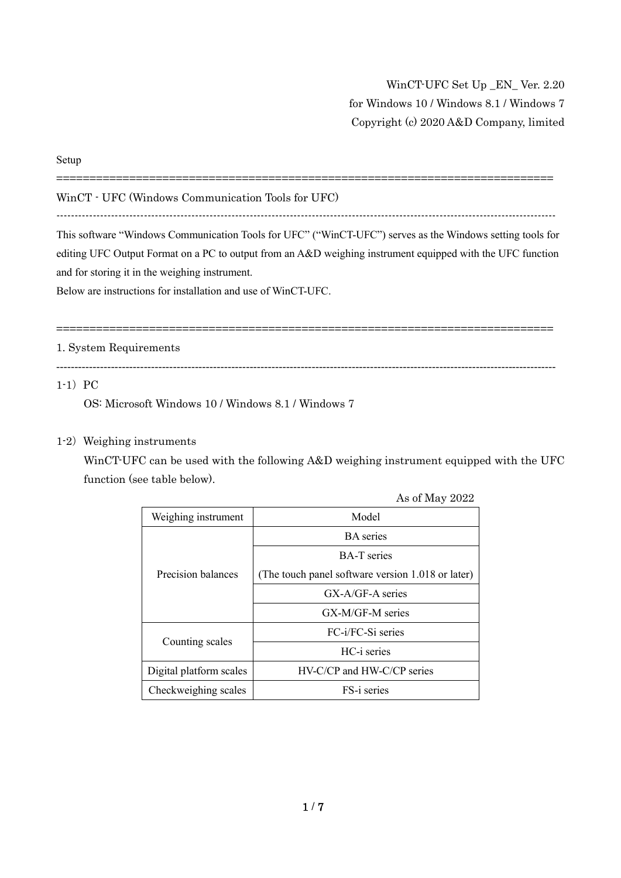WinCT-UFC Set Up \_EN\_ Ver. 2.20 for Windows 10 / Windows 8.1 / Windows 7 Copyright (c) 2020 A&D Company, limited

#### Setup

WinCT - UFC (Windows Communication Tools for UFC)

-----------------------------------------------------------------------------------------------------------------------------------------

===========================================================================

This software "Windows Communication Tools for UFC" ("WinCT-UFC") serves as the Windows setting tools for editing UFC Output Format on a PC to output from an A&D weighing instrument equipped with the UFC function and for storing it in the weighing instrument.

Below are instructions for installation and use of WinCT-UFC.

===========================================================================

### 1. System Requirements

-----------------------------------------------------------------------------------------------------------------------------------------

## $1-1$ ) PC

OS: Microsoft Windows 10 / Windows 8.1 / Windows 7

### 1-2) Weighing instruments

WinCT-UFC can be used with the following A&D weighing instrument equipped with the UFC function (see table below).

|                         | As of May 2022                                    |  |  |
|-------------------------|---------------------------------------------------|--|--|
| Weighing instrument     | Model                                             |  |  |
| Precision balances      | <b>BA</b> series                                  |  |  |
|                         | <b>BA-T</b> series                                |  |  |
|                         | (The touch panel software version 1.018 or later) |  |  |
|                         | $GX-A/GF-A$ series                                |  |  |
|                         | GX-M/GF-M series                                  |  |  |
| Counting scales         | FC-i/FC-Si series                                 |  |  |
|                         | HC-i series                                       |  |  |
| Digital platform scales | HV-C/CP and HW-C/CP series                        |  |  |
| Checkweighing scales    | FS-i series                                       |  |  |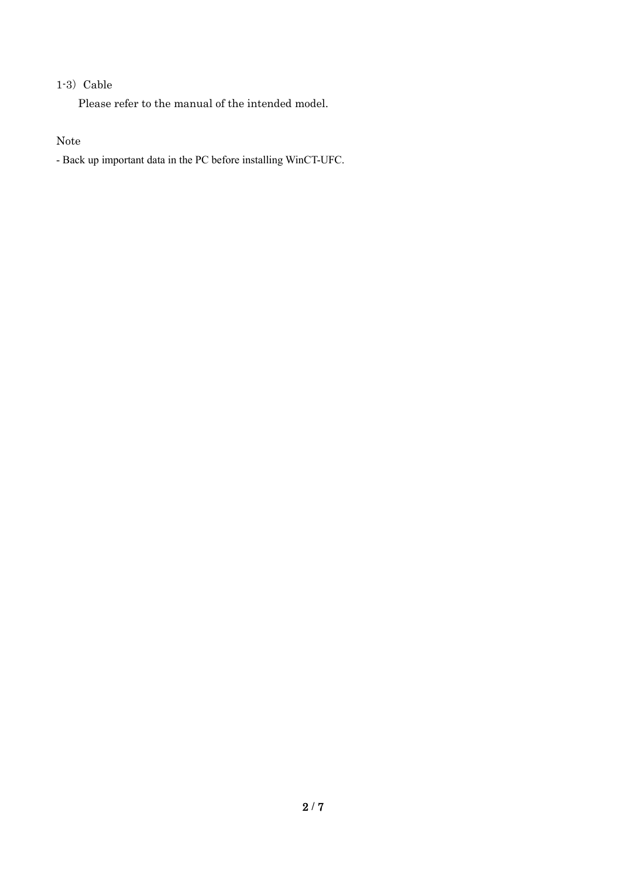# $1-3$ ) Cable

Please refer to the manual of the intended model.

## Note

- Back up important data in the PC before installing WinCT-UFC.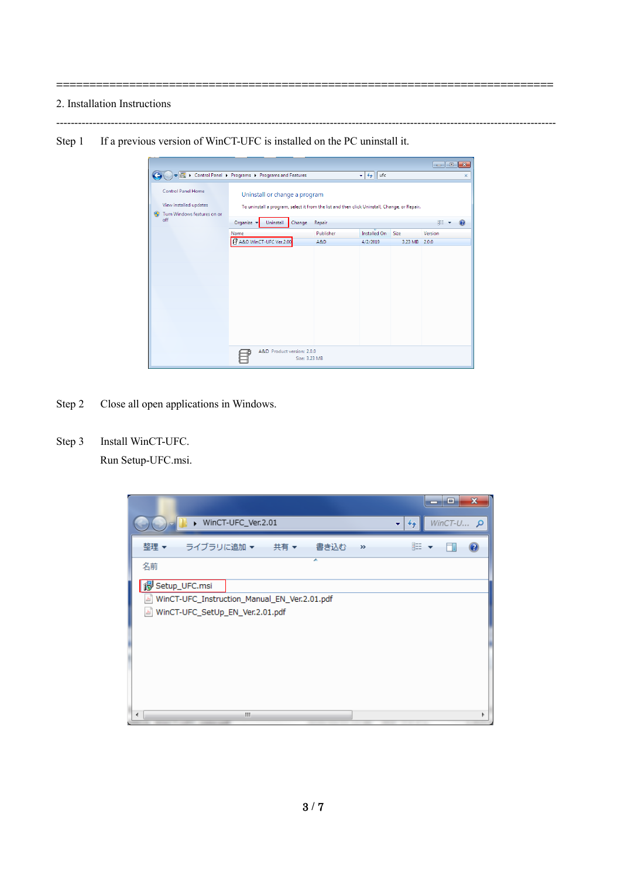2. Installation Instructions

Step 1 If a previous version of WinCT-UFC is installed on the PC uninstall it.

|                                                                                  |                                                                                                                               |           |                        |         | $ -$    | $\mathbf{x}$ |
|----------------------------------------------------------------------------------|-------------------------------------------------------------------------------------------------------------------------------|-----------|------------------------|---------|---------|--------------|
|                                                                                  | DE > Control Panel > Programs > Programs and Features                                                                         |           | $\frac{4}{7}$ ufc<br>÷ |         |         | ×            |
| Control Panel Home<br>View installed updates<br>Turn Windows features on or<br>⊛ | Uninstall or change a program<br>To uninstall a program, select it from the list and then click Uninstall, Change, or Repair. |           |                        |         |         |              |
| off                                                                              | Organize v<br>Uninstall<br>Change                                                                                             | Repair    |                        |         | 胆       |              |
|                                                                                  | Name                                                                                                                          | Publisher | <b>Installed On</b>    | Size    | Version |              |
|                                                                                  | P A&D WinCT-UFC Ver.2.00                                                                                                      | A&D       | 4/2/2019               | 3.23 MB | 2.0.0   |              |
|                                                                                  |                                                                                                                               |           |                        |         |         |              |
|                                                                                  | A&D Product version: 2.0.0<br>Size: 3.23 MB                                                                                   |           |                        |         |         |              |

-----------------------------------------------------------------------------------------------------------------------------------------

===========================================================================

- Step 2 Close all open applications in Windows.
- Step 3 Install WinCT-UFC.

Run Setup-UFC.msi.

|                                                                                      | $\mathbf x$<br>Ξ<br>-   |
|--------------------------------------------------------------------------------------|-------------------------|
| WinCT-UFC_Ver.2.01<br>÷                                                              | WinCT-U $\rho$<br>$4 +$ |
| ライブラリに追加 ▼<br>共有 ▼<br>書き込む<br>整理 ▼<br>$\gg$                                          | 睚                       |
| y<br>名前                                                                              |                         |
| igg Setup_UFC.msi                                                                    |                         |
| WinCT-UFC_Instruction_Manual_EN_Ver.2.01.pdf<br>WinCT-UFC_SetUp_EN_Ver.2.01.pdf<br>비 |                         |
|                                                                                      |                         |
|                                                                                      |                         |
|                                                                                      |                         |
|                                                                                      |                         |
| m<br>∢                                                                               |                         |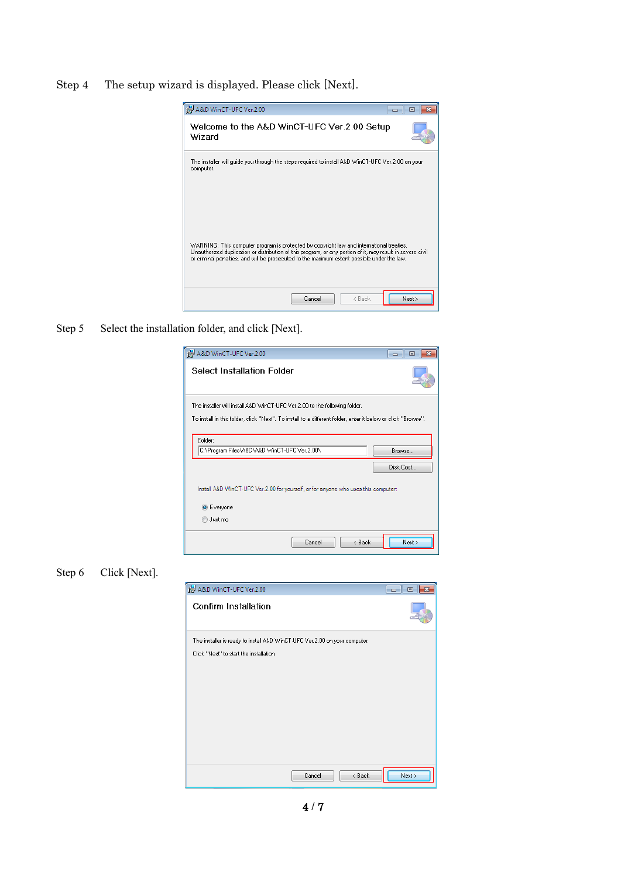Step 4 The setup wizard is displayed. Please click [Next].



Step 5 Select the installation folder, and click [Next].

| A&D WinCT-UFC Ver.2.00                                                                                                                                                                      | 回<br>والمصد         |
|---------------------------------------------------------------------------------------------------------------------------------------------------------------------------------------------|---------------------|
| Select Installation Folder                                                                                                                                                                  |                     |
| The installer will install A&D WinCT-UFC Ver. 2.00 to the following folder.<br>To install in this folder, click "Next". To install to a different folder, enter it below or click "Browse". |                     |
| Folder:<br>C:\Program Files\A&D\A&D \WinCT-UFC Ver.2.00\                                                                                                                                    | Browse<br>Disk Cost |
| Install A&D WinCT-UFC Ver.2.00 for yourself, or for anyone who uses this computer:<br><b>O</b> Everyone<br>Just me                                                                          |                     |
| Cancel<br>< Back                                                                                                                                                                            | Next                |

Step 6 Click [Next].

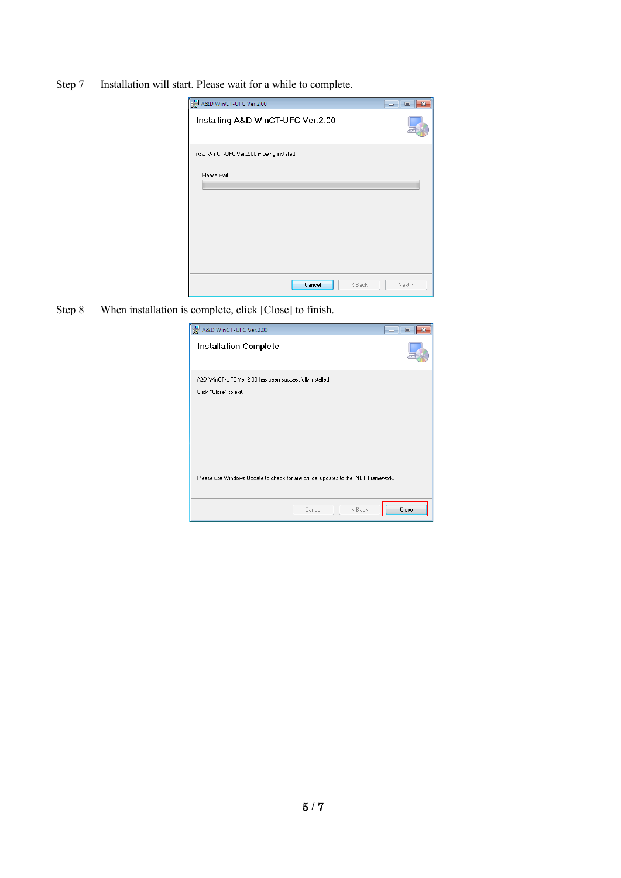Step 7 Installation will start. Please wait for a while to complete.

| A&D WinCT-UFC Ver.2.00                     | -- 0<br>$-23$ |
|--------------------------------------------|---------------|
| Installing A&D WinCT-UFC Ver.2.00          |               |
| A&D WinCT-UFC Ver.2.00 is being installed. |               |
| Please wait                                |               |
|                                            |               |
| Cancel<br>< Back                           | Next >        |

Step 8 When installation is complete, click [Close] to finish.

| A&D WinCT-UFC Ver.2.00                                                             | $\overline{\mathbf{x}}$<br>▣<br>--- |
|------------------------------------------------------------------------------------|-------------------------------------|
| Installation Complete                                                              |                                     |
| A&D WinCT-UFC Ver.2.00 has been successfully installed.<br>Click "Close" to exit.  |                                     |
|                                                                                    |                                     |
|                                                                                    |                                     |
|                                                                                    |                                     |
| Please use Windows Update to check for any critical updates to the .NET Framework. |                                     |
| < Back<br>Cancel                                                                   | Close                               |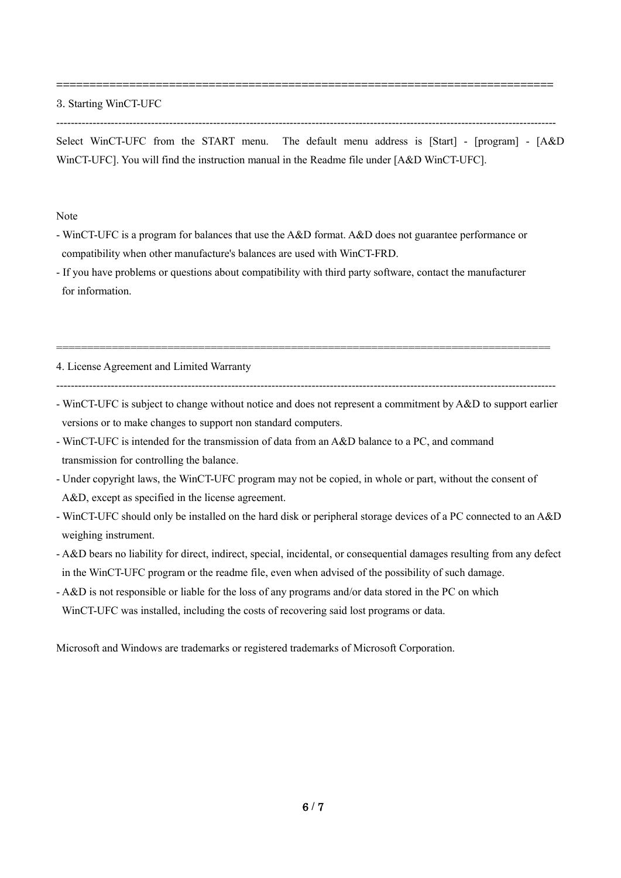3. Starting WinCT-UFC

-----------------------------------------------------------------------------------------------------------------------------------------

===========================================================================

Select WinCT-UFC from the START menu. The default menu address is [Start] - [program] - [A&D WinCT-UFC]. You will find the instruction manual in the Readme file under [A&D WinCT-UFC].

Note

- WinCT-UFC is a program for balances that use the A&D format. A&D does not guarantee performance or compatibility when other manufacture's balances are used with WinCT-FRD.
- If you have problems or questions about compatibility with third party software, contact the manufacturer for information.

4. License Agreement and Limited Warranty

-----------------------------------------------------------------------------------------------------------------------------------------

================================================================================

- WinCT-UFC is subject to change without notice and does not represent a commitment by A&D to support earlier versions or to make changes to support non standard computers.
- WinCT-UFC is intended for the transmission of data from an A&D balance to a PC, and command transmission for controlling the balance.
- Under copyright laws, the WinCT-UFC program may not be copied, in whole or part, without the consent of A&D, except as specified in the license agreement.
- WinCT-UFC should only be installed on the hard disk or peripheral storage devices of a PC connected to an A&D weighing instrument.
- A&D bears no liability for direct, indirect, special, incidental, or consequential damages resulting from any defect in the WinCT-UFC program or the readme file, even when advised of the possibility of such damage.
- A&D is not responsible or liable for the loss of any programs and/or data stored in the PC on which WinCT-UFC was installed, including the costs of recovering said lost programs or data.

Microsoft and Windows are trademarks or registered trademarks of Microsoft Corporation.